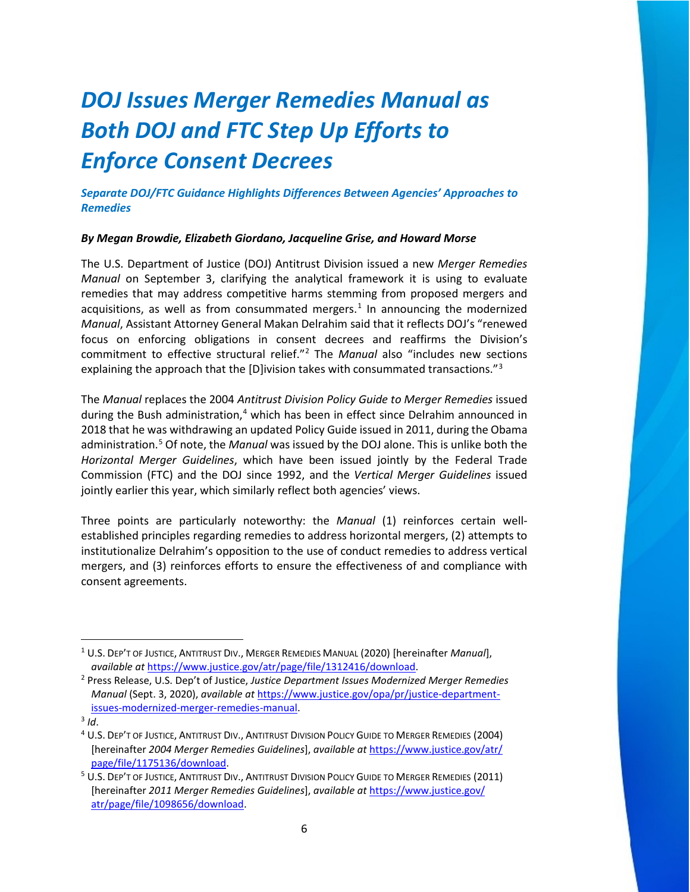# *DOJ Issues Merger Remedies Manual as Both DOJ and FTC Step Up Efforts to Enforce Consent Decrees*

*Separate DOJ/FTC Guidance Highlights Differences Between Agencies' Approaches to Remedies* 

#### *By Megan Browdie, Elizabeth Giordano, Jacqueline Grise, and Howard Morse*

The U.S. Department of Justice (DOJ) Antitrust Division issued a new *Merger Remedies Manual* on September 3, clarifying the analytical framework it is using to evaluate remedies that may address competitive harms stemming from proposed mergers and acquisitions, as well as from consummated mergers.<sup>[1](#page-0-0)</sup> In announcing the modernized *Manual*, Assistant Attorney General Makan Delrahim said that it reflects DOJ's "renewed focus on enforcing obligations in consent decrees and reaffirms the Division's commitment to effective structural relief."[2](#page-0-1) The *Manual* also "includes new sections explaining the approach that the [D]ivision takes with consummated transactions." $3$ 

The *Manual* replaces the 2004 *Antitrust Division Policy Guide to Merger Remedies* issued during the Bush administration,<sup>[4](#page-0-3)</sup> which has been in effect since Delrahim announced in 2018 that he was withdrawing an updated Policy Guide issued in 2011, during the Obama administration.[5](#page-0-4) Of note, the *Manual* was issued by the DOJ alone. This is unlike both the *Horizontal Merger Guidelines*, which have been issued jointly by the Federal Trade Commission (FTC) and the DOJ since 1992, and the *Vertical Merger Guidelines* issued jointly earlier this year, which similarly reflect both agencies' views.

Three points are particularly noteworthy: the *Manual* (1) reinforces certain wellestablished principles regarding remedies to address horizontal mergers, (2) attempts to institutionalize Delrahim's opposition to the use of conduct remedies to address vertical mergers, and (3) reinforces efforts to ensure the effectiveness of and compliance with consent agreements.

<span id="page-0-0"></span><sup>1</sup> U.S. DEP'T OF JUSTICE, ANTITRUST DIV., MERGER REMEDIES MANUAL (2020) [hereinafter *Manual*], *available at* [https://www.justice.gov/atr/page/file/1312416/download.](https://www.justice.gov/atr/page/file/1312416/download)

<span id="page-0-1"></span><sup>2</sup> Press Release, U.S. Dep't of Justice, *Justice Department Issues Modernized Merger Remedies Manual* (Sept. 3, 2020), *available at* [https://www.justice.gov/opa/pr/justice-department](https://www.justice.gov/opa/pr/justice-department-issues-modernized-merger-remedies-manual)[issues-modernized-merger-remedies-manual.](https://www.justice.gov/opa/pr/justice-department-issues-modernized-merger-remedies-manual)

<span id="page-0-2"></span> $3$   $Id$ .

<span id="page-0-3"></span><sup>4</sup> U.S. DEP'T OF JUSTICE, ANTITRUST DIV., ANTITRUST DIVISION POLICY GUIDE TO MERGER REMEDIES (2004) [hereinafter *2004 Merger Remedies Guidelines*], *available at* [https://www.justice.gov/atr/](https://www.justice.gov/atr/%20page/file/1175136/download)  [page/file/1175136/download.](https://www.justice.gov/atr/%20page/file/1175136/download)

<span id="page-0-4"></span><sup>&</sup>lt;sup>5</sup> U.S. DEP'T OF JUSTICE, ANTITRUST DIV., ANTITRUST DIVISION POLICY GUIDE TO MERGER REMEDIES (2011) [hereinafter *2011 Merger Remedies Guidelines*], *available at* [https://www.justice.gov/](https://www.justice.gov/%20atr/page/file/1098656/download)  [atr/page/file/1098656/download.](https://www.justice.gov/%20atr/page/file/1098656/download)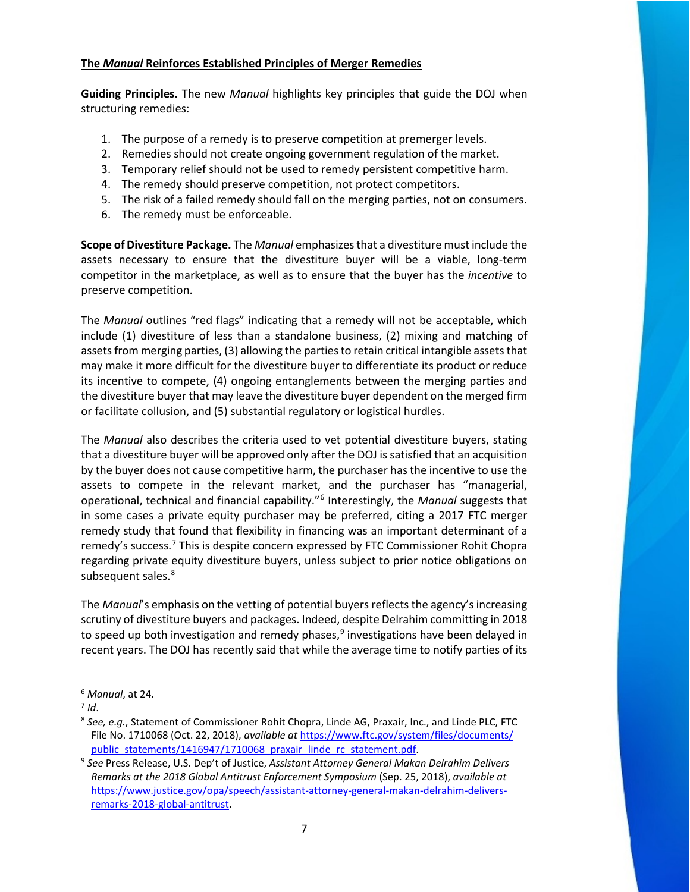#### **The** *Manual* **Reinforces Established Principles of Merger Remedies**

**Guiding Principles.** The new *Manual* highlights key principles that guide the DOJ when structuring remedies:

- 1. The purpose of a remedy is to preserve competition at premerger levels.
- 2. Remedies should not create ongoing government regulation of the market.
- 3. Temporary relief should not be used to remedy persistent competitive harm.
- 4. The remedy should preserve competition, not protect competitors.
- 5. The risk of a failed remedy should fall on the merging parties, not on consumers.
- 6. The remedy must be enforceable.

**Scope of Divestiture Package.** The *Manual* emphasizes that a divestiture must include the assets necessary to ensure that the divestiture buyer will be a viable, long-term competitor in the marketplace, as well as to ensure that the buyer has the *incentive* to preserve competition.

The *Manual* outlines "red flags" indicating that a remedy will not be acceptable, which include (1) divestiture of less than a standalone business, (2) mixing and matching of assets from merging parties, (3) allowing the parties to retain critical intangible assets that may make it more difficult for the divestiture buyer to differentiate its product or reduce its incentive to compete, (4) ongoing entanglements between the merging parties and the divestiture buyer that may leave the divestiture buyer dependent on the merged firm or facilitate collusion, and (5) substantial regulatory or logistical hurdles.

The *Manual* also describes the criteria used to vet potential divestiture buyers, stating that a divestiture buyer will be approved only after the DOJ is satisfied that an acquisition by the buyer does not cause competitive harm, the purchaser has the incentive to use the assets to compete in the relevant market, and the purchaser has "managerial, operational, technical and financial capability."[6](#page-1-0) Interestingly, the *Manual* suggests that in some cases a private equity purchaser may be preferred, citing a 2017 FTC merger remedy study that found that flexibility in financing was an important determinant of a remedy's success.[7](#page-1-1) This is despite concern expressed by FTC Commissioner Rohit Chopra regarding private equity divestiture buyers, unless subject to prior notice obligations on subsequent sales.<sup>[8](#page-1-2)</sup>

The *Manual*'s emphasis on the vetting of potential buyers reflects the agency's increasing scrutiny of divestiture buyers and packages. Indeed, despite Delrahim committing in 2018 to speed up both investigation and remedy phases, $9$  investigations have been delayed in recent years. The DOJ has recently said that while the average time to notify parties of its

<span id="page-1-0"></span><sup>6</sup> *Manual*, at 24.

<span id="page-1-1"></span> $7$  *Id*.

<span id="page-1-2"></span><sup>8</sup> *See, e.g.*, Statement of Commissioner Rohit Chopra, Linde AG, Praxair, Inc., and Linde PLC, FTC File No. 1710068 (Oct. 22, 2018), *available at* [https://www.ftc.gov/system/files/documents/](https://www.ftc.gov/system/files/documents/%20public_statements/1416947/1710068_praxair_linde_rc_statement.pdf)  [public\\_statements/1416947/1710068\\_praxair\\_linde\\_rc\\_statement.pdf.](https://www.ftc.gov/system/files/documents/%20public_statements/1416947/1710068_praxair_linde_rc_statement.pdf) 9 *See* Press Release, U.S. Dep't of Justice, *Assistant Attorney General Makan Delrahim Delivers* 

<span id="page-1-3"></span>*Remarks at the 2018 Global Antitrust Enforcement Symposium* (Sep. 25, 2018), *available at* [https://www.justice.gov/opa/speech/assistant-attorney-general-makan-delrahim-delivers](https://www.justice.gov/opa/speech/assistant-attorney-general-makan-delrahim-delivers-remarks-2018-global-antitrust)[remarks-2018-global-antitrust.](https://www.justice.gov/opa/speech/assistant-attorney-general-makan-delrahim-delivers-remarks-2018-global-antitrust)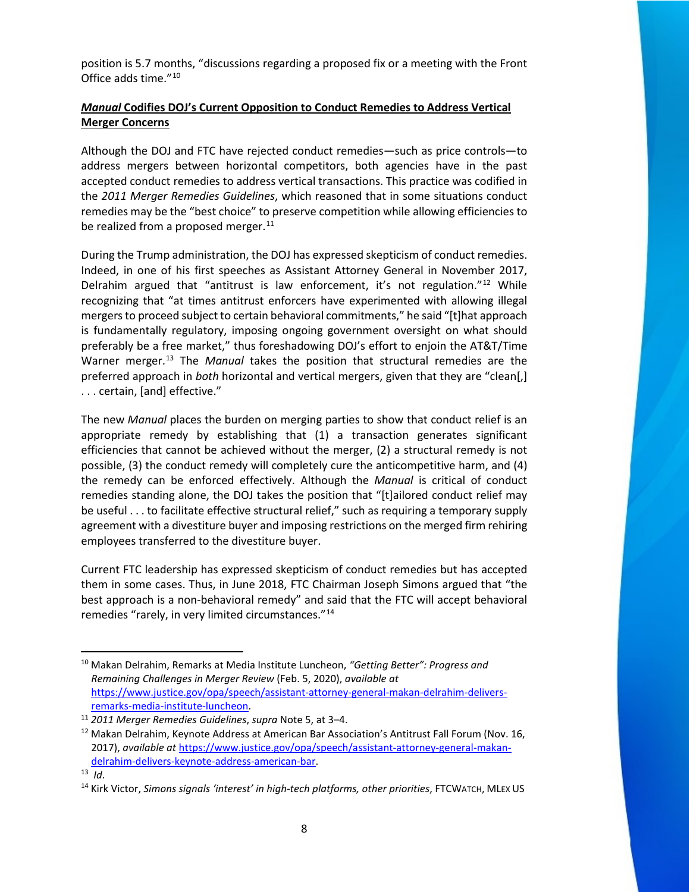position is 5.7 months, "discussions regarding a proposed fix or a meeting with the Front Office adds time."[10](#page-2-0)

### *Manual* **Codifies DOJ's Current Opposition to Conduct Remedies to Address Vertical Merger Concerns**

Although the DOJ and FTC have rejected conduct remedies—such as price controls—to address mergers between horizontal competitors, both agencies have in the past accepted conduct remedies to address vertical transactions. This practice was codified in the *2011 Merger Remedies Guidelines*, which reasoned that in some situations conduct remedies may be the "best choice" to preserve competition while allowing efficiencies to be realized from a proposed merger. $11$ 

During the Trump administration, the DOJ has expressed skepticism of conduct remedies. Indeed, in one of his first speeches as Assistant Attorney General in November 2017, Delrahim argued that "antitrust is law enforcement, it's not regulation."<sup>[12](#page-2-2)</sup> While recognizing that "at times antitrust enforcers have experimented with allowing illegal mergers to proceed subject to certain behavioral commitments," he said "[t]hat approach is fundamentally regulatory, imposing ongoing government oversight on what should preferably be a free market," thus foreshadowing DOJ's effort to enjoin the AT&T/Time Warner merger.[13](#page-2-3) The *Manual* takes the position that structural remedies are the preferred approach in *both* horizontal and vertical mergers, given that they are "clean[,] . . . certain, [and] effective."

The new *Manual* places the burden on merging parties to show that conduct relief is an appropriate remedy by establishing that (1) a transaction generates significant efficiencies that cannot be achieved without the merger, (2) a structural remedy is not possible, (3) the conduct remedy will completely cure the anticompetitive harm, and (4) the remedy can be enforced effectively. Although the *Manual* is critical of conduct remedies standing alone, the DOJ takes the position that "[t]ailored conduct relief may be useful . . . to facilitate effective structural relief," such as requiring a temporary supply agreement with a divestiture buyer and imposing restrictions on the merged firm rehiring employees transferred to the divestiture buyer.

Current FTC leadership has expressed skepticism of conduct remedies but has accepted them in some cases. Thus, in June 2018, FTC Chairman Joseph Simons argued that "the best approach is a non-behavioral remedy" and said that the FTC will accept behavioral remedies "rarely, in very limited circumstances."[14](#page-2-4)

<span id="page-2-0"></span><sup>10</sup> Makan Delrahim, Remarks at Media Institute Luncheon, *"Getting Better": Progress and Remaining Challenges in Merger Review* (Feb. 5, 2020), *available at*  [https://www.justice.gov/opa/speech/assistant-attorney-general-makan-delrahim-delivers](https://www.justice.gov/opa/speech/assistant-attorney-general-makan-delrahim-delivers-remarks-media-institute-luncheon)[remarks-media-institute-luncheon.](https://www.justice.gov/opa/speech/assistant-attorney-general-makan-delrahim-delivers-remarks-media-institute-luncheon) 11 *2011 Merger Remedies Guidelines*, *supra* Note 5, at 3–4.

<span id="page-2-2"></span><span id="page-2-1"></span><sup>&</sup>lt;sup>12</sup> Makan Delrahim, Keynote Address at American Bar Association's Antitrust Fall Forum (Nov. 16, 2017), *available at* [https://www.justice.gov/opa/speech/assistant-attorney-general-makan](https://www.justice.gov/opa/speech/assistant-attorney-general-makan-delrahim-delivers-keynote-address-american-bar)[delrahim-delivers-keynote-address-american-bar.](https://www.justice.gov/opa/speech/assistant-attorney-general-makan-delrahim-delivers-keynote-address-american-bar)

<span id="page-2-3"></span><sup>13</sup> *Id*.

<span id="page-2-4"></span><sup>14</sup> Kirk Victor, *Simons signals 'interest' in high-tech platforms, other priorities*, FTCWATCH, MLEX US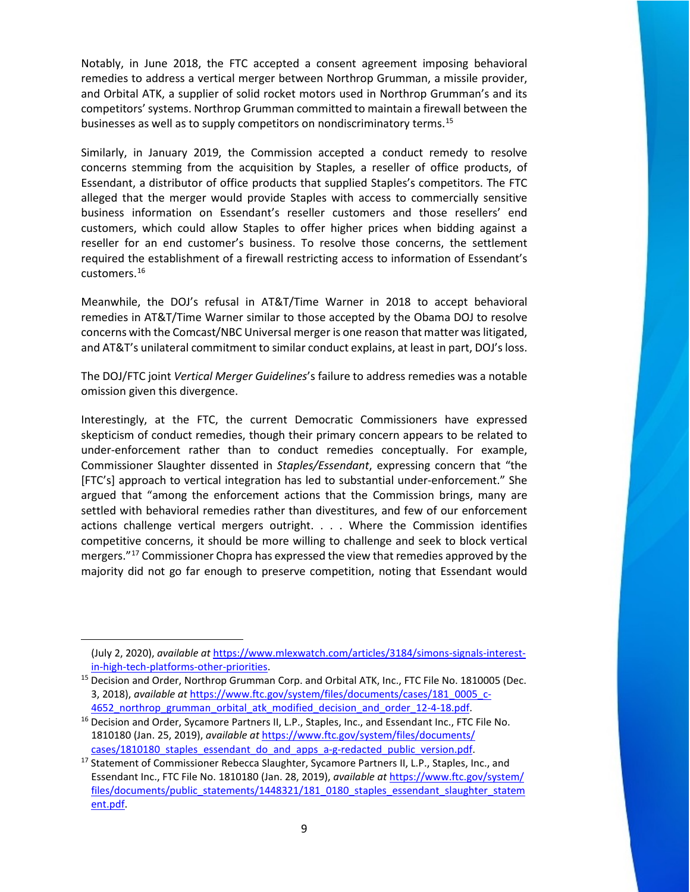Notably, in June 2018, the FTC accepted a consent agreement imposing behavioral remedies to address a vertical merger between Northrop Grumman, a missile provider, and Orbital ATK, a supplier of solid rocket motors used in Northrop Grumman's and its competitors' systems. Northrop Grumman committed to maintain a firewall between the businesses as well as to supply competitors on nondiscriminatory terms.<sup>[15](#page-3-0)</sup>

Similarly, in January 2019, the Commission accepted a conduct remedy to resolve concerns stemming from the acquisition by Staples, a reseller of office products, of Essendant, a distributor of office products that supplied Staples's competitors. The FTC alleged that the merger would provide Staples with access to commercially sensitive business information on Essendant's reseller customers and those resellers' end customers, which could allow Staples to offer higher prices when bidding against a reseller for an end customer's business. To resolve those concerns, the settlement required the establishment of a firewall restricting access to information of Essendant's customers.[16](#page-3-1)

Meanwhile, the DOJ's refusal in AT&T/Time Warner in 2018 to accept behavioral remedies in AT&T/Time Warner similar to those accepted by the Obama DOJ to resolve concerns with the Comcast/NBC Universal merger is one reason that matter was litigated, and AT&T's unilateral commitment to similar conduct explains, at least in part, DOJ's loss.

The DOJ/FTC joint *[Vertical Merger Guidelines](https://www.cooley.com/news/insight/2020/2020-07-07-new-us-antitrust-merger-guidelines-focus-on-vertical-acquisitions)*'s failure to address remedies was a notable omission given this divergence.

Interestingly, at the FTC, the current Democratic Commissioners have expressed skepticism of conduct remedies, though their primary concern appears to be related to under-enforcement rather than to conduct remedies conceptually. For example, Commissioner Slaughter dissented in *Staples/Essendant*, expressing concern that "the [FTC's] approach to vertical integration has led to substantial under-enforcement." She argued that "among the enforcement actions that the Commission brings, many are settled with behavioral remedies rather than divestitures, and few of our enforcement actions challenge vertical mergers outright. . . . Where the Commission identifies competitive concerns, it should be more willing to challenge and seek to block vertical mergers."<sup>[17](#page-3-2)</sup> Commissioner Chopra has expressed the view that remedies approved by the majority did not go far enough to preserve competition, noting that Essendant would

<sup>(</sup>July 2, 2020), *available at* [https://www.mlexwatch.com/articles/3184/simons-signals-interest-](https://www.mlexwatch.com/articles/3184/simons-signals-interest-in-high-tech-platforms-other-priorities)

<span id="page-3-0"></span>in-high-tech-platforms-other-priorities.<br><sup>15</sup> Decision and Order, Northrop Grumman Corp. and Orbital ATK, Inc., FTC File No. 1810005 (Dec. 3, 2018), *available at* [https://www.ftc.gov/system/files/documents/cases/181\\_0005\\_c-](https://www.ftc.gov/system/files/documents/cases/181_0005_c-4652_northrop_grumman_orbital_atk_modified_decision_and_order_12-4-18.pdf)

<span id="page-3-1"></span><sup>4652</sup> northrop grumman orbital atk modified decision and order 12-4-18.pdf. 16 Decision and Order, Sycamore Partners II, L.P., Staples, Inc., and Essendant Inc., FTC File No. 1810180 (Jan. 25, 2019), *available at* [https://www.ftc.gov/system/files/documents/](https://www.ftc.gov/system/files/documents/%20cases/1810180_staples_essendant_do_and_apps_a-g-redacted_public_version.pdf) 

<span id="page-3-2"></span>[cases/1810180\\_staples\\_essendant\\_do\\_and\\_apps\\_a-g-redacted\\_public\\_version.pdf.](https://www.ftc.gov/system/files/documents/%20cases/1810180_staples_essendant_do_and_apps_a-g-redacted_public_version.pdf) 17 Statement of Commissioner Rebecca Slaughter, Sycamore Partners II, L.P., Staples, Inc., and Essendant Inc., FTC File No. 1810180 (Jan. 28, 2019), *available at* [https://www.ftc.gov/system/](https://www.ftc.gov/system/%20files/documents/public_statements/1448321/181_0180_staples_essendant_slaughter_statement.pdf)  [files/documents/public\\_statements/1448321/181\\_0180\\_staples\\_essendant\\_slaughter\\_statem](https://www.ftc.gov/system/%20files/documents/public_statements/1448321/181_0180_staples_essendant_slaughter_statement.pdf) [ent.pdf.](https://www.ftc.gov/system/%20files/documents/public_statements/1448321/181_0180_staples_essendant_slaughter_statement.pdf)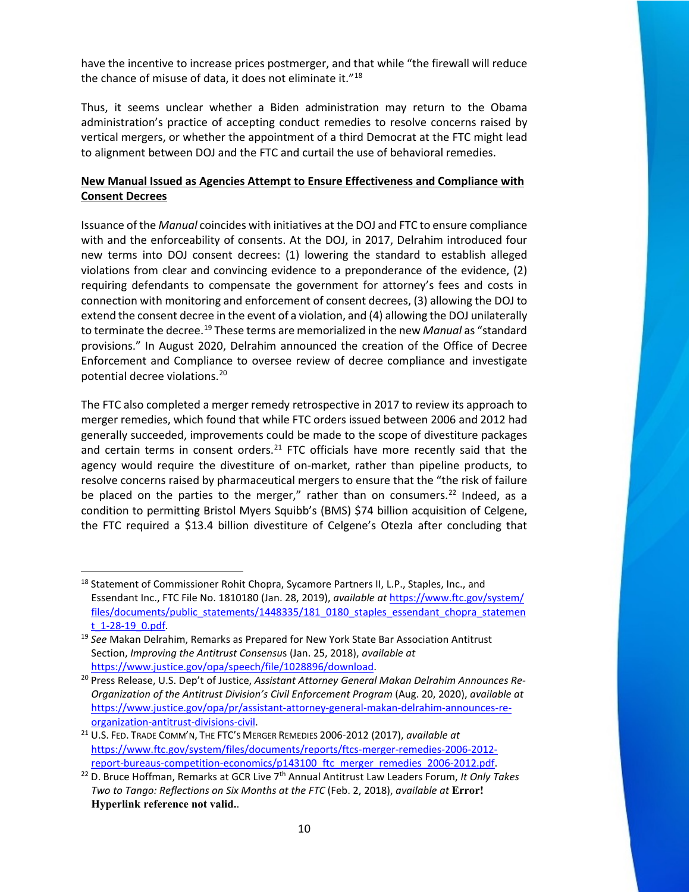have the incentive to increase prices postmerger, and that while "the firewall will reduce the chance of misuse of data, it does not eliminate it."[18](#page-4-0)

Thus, it seems unclear whether a Biden administration may return to the Obama administration's practice of accepting conduct remedies to resolve concerns raised by vertical mergers, or whether the appointment of a third Democrat at the FTC might lead to alignment between DOJ and the FTC and curtail the use of behavioral remedies.

## **New Manual Issued as Agencies Attempt to Ensure Effectiveness and Compliance with Consent Decrees**

Issuance of the *Manual* coincides with initiatives at the DOJ and FTC to ensure compliance with and the enforceability of consents. At the DOJ, in 2017, Delrahim introduced four new terms into DOJ consent decrees: (1) lowering the standard to establish alleged violations from clear and convincing evidence to a preponderance of the evidence, (2) requiring defendants to compensate the government for attorney's fees and costs in connection with monitoring and enforcement of consent decrees, (3) allowing the DOJ to extend the consent decree in the event of a violation, and (4) allowing the DOJ unilaterally to terminate the decree.[19](#page-4-1) These terms are memorialized in the new *Manual* as "standard provisions." In August 2020, Delrahim announced the creation of the Office of Decree Enforcement and Compliance to oversee review of decree compliance and investigate potential decree violations.[20](#page-4-2) 

The FTC also completed a merger remedy retrospective in 2017 to review its approach to merger remedies, which found that while FTC orders issued between 2006 and 2012 had generally succeeded, improvements could be made to the scope of divestiture packages and certain terms in consent orders. $21$  FTC officials have more recently said that the agency would require the divestiture of on-market, rather than pipeline products, to resolve concerns raised by pharmaceutical mergers to ensure that the "the risk of failure be placed on the parties to the merger," rather than on consumers.<sup>[22](#page-4-4)</sup> Indeed, as a condition to permitting Bristol Myers Squibb's (BMS) \$74 billion acquisition of Celgene, the FTC required a \$13.4 billion divestiture of Celgene's Otezla after concluding that

<span id="page-4-0"></span><sup>&</sup>lt;sup>18</sup> Statement of Commissioner Rohit Chopra, Sycamore Partners II, L.P., Staples, Inc., and Essendant Inc., FTC File No. 1810180 (Jan. 28, 2019), *available at* [https://www.ftc.gov/system/](https://www.ftc.gov/system/%20files/documents/public_statements/1448335/181_0180_staples_essendant_chopra_statement_1-28-19_0.pdf)  [files/documents/public\\_statements/1448335/181\\_0180\\_staples\\_essendant\\_chopra\\_statemen](https://www.ftc.gov/system/%20files/documents/public_statements/1448335/181_0180_staples_essendant_chopra_statement_1-28-19_0.pdf)

<span id="page-4-1"></span>[t\\_1-28-19\\_0.pdf.](https://www.ftc.gov/system/%20files/documents/public_statements/1448335/181_0180_staples_essendant_chopra_statement_1-28-19_0.pdf) 19 *See* Makan Delrahim, Remarks as Prepared for New York State Bar Association Antitrust Section, *Improving the Antitrust Consensu*s (Jan. 25, 2018), *available at*

<span id="page-4-2"></span>[https://www.justice.gov/opa/speech/file/1028896/download.](https://www.justice.gov/opa/speech/file/1028896/download) 20 Press Release, U.S. Dep't of Justice, *Assistant Attorney General Makan Delrahim Announces Re-Organization of the Antitrust Division's Civil Enforcement Program* (Aug. 20, 2020), *available at*  [https://www.justice.gov/opa/pr/assistant-attorney-general-makan-delrahim-announces-re-](https://www.justice.gov/opa/pr/assistant-attorney-general-makan-delrahim-announces-re-organization-antitrust-divisions-civil)

<span id="page-4-3"></span>[organization-antitrust-divisions-civil.](https://www.justice.gov/opa/pr/assistant-attorney-general-makan-delrahim-announces-re-organization-antitrust-divisions-civil) 21 U.S. FED. TRADE COMM'N, THE FTC'S MERGER REMEDIES 2006-2012 (2017), *available at* [https://www.ftc.gov/system/files/documents/reports/ftcs-merger-remedies-2006-2012-](https://www.ftc.gov/system/files/documents/reports/ftcs-merger-remedies-2006-2012-report-bureaus-competition-economics/p143100_ftc_merger_remedies_2006-2012.pdf)

<span id="page-4-4"></span>[report-bureaus-competition-economics/p143100\\_ftc\\_merger\\_remedies\\_2006-2012.pdf.](https://www.ftc.gov/system/files/documents/reports/ftcs-merger-remedies-2006-2012-report-bureaus-competition-economics/p143100_ftc_merger_remedies_2006-2012.pdf) 22 D. Bruce Hoffman, Remarks at GCR Live 7th Annual Antitrust Law Leaders Forum, *It Only Takes Two to Tango: Reflections on Six Months at the FTC* (Feb. 2, 2018), *available at* **Error! Hyperlink reference not valid.**.